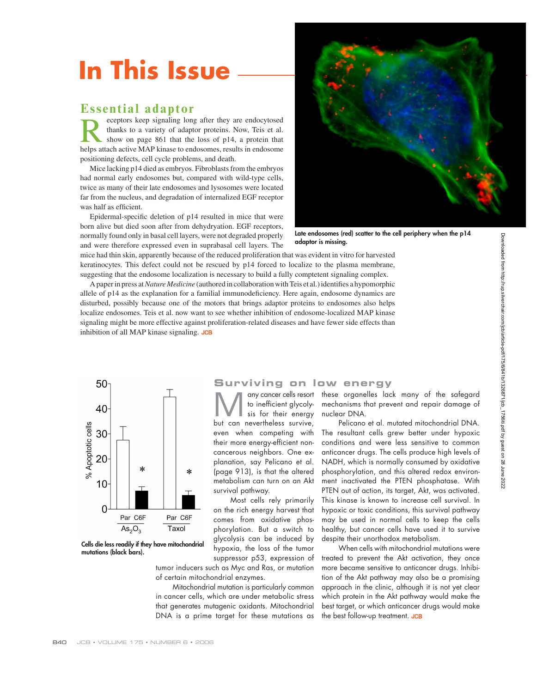# **In This Issue**

## **Essential adaptor**

receptors keep signaling long after they are endocytosed<br>thanks to a variety of adaptor proteins. Now, Teis et al.<br>show on page 861 that the loss of p14, a protein that<br>helps attach active MAP kinase to endosomes results i thanks to a variety of adaptor proteins. Now, Teis et al. show on page 861 that the loss of p14, a protein that helps attach active MAP kinase to endosomes, results in endosome positioning defects, cell cycle problems, and death.

Mice lacking p14 died as embryos. Fibroblasts from the embryos had normal early endosomes but, compared with wild-type cells, twice as many of their late endosomes and lysosomes were located far from the nucleus, and degradation of internalized EGF receptor was half as efficient.

Epidermal-specific deletion of p14 resulted in mice that were born alive but died soon after from dehydryation. EGF receptors, normally found only in basal cell layers, were not degraded properly and were therefore expressed even in suprabasal cell layers. The



**Late endosomes (red) scatter to the cell periphery when the p14 adaptor is missing.**

mice had thin skin, apparently because of the reduced proliferation that was evident in vitro for harvested keratinocytes. This defect could not be rescued by p14 forced to localize to the plasma membrane, suggesting that the endosome localization is necessary to build a fully comptetent signaling complex.

A paper in press at *Nature Medicine* (authored in collaboration with Teis et al.) identifies a hypomorphic allele of p14 as the explanation for a familial immunodeficiency. Here again, endosome dynamics are disturbed, possibly because one of the motors that brings adaptor proteins to endosomes also helps localize endosomes. Teis et al. now want to see whether inhibition of endosome-localized MAP kinase signaling might be more effective against proliferation-related diseases and have fewer side effects than inhibition of all MAP kinase signaling. JCB



**Cells die less readily if they have mitochondrial mutations (black bars).**

## **Surviving on low energy**

Many cancer cells resort<br>to inefficient glycoly-<br>sis for their energy to inefficient glycolysis for their energy but can nevertheless survive, even when competing with their more energy-efficient noncancerous neighbors. One explanation, say Pelicano et al. (page 913), is that the altered metabolism can turn on an Akt survival pathway.

Most cells rely primarily on the rich energy harvest that comes from oxidative phosphorylation. But a switch to glycolysis can be induced by hypoxia, the loss of the tumor suppressor p53, expression of

tumor inducers such as Myc and Ras, or mutation of certain mitochondrial enzymes.

Mitochondrial mutation is particularly common in cancer cells, which are under metabolic stress that generates mutagenic oxidants. Mitochondrial DNA is a prime target for these mutations as

these organelles lack many of the safegard mechanisms that prevent and repair damage of nuclear DNA.

Pelicano et al. mutated mitochondrial DNA. The resultant cells grew better under hypoxic conditions and were less sensitive to common anticancer drugs. The cells produce high levels of NADH, which is normally consumed by oxidative phosphorylation, and this altered redox environment inactivated the PTEN phosphatase. With PTEN out of action, its target, Akt, was activated. This kinase is known to increase cell survival. In hypoxic or toxic conditions, this survival pathway may be used in normal cells to keep the cells healthy, but cancer cells have used it to survive despite their unorthodox metabolism.

When cells with mitochondrial mutations were treated to prevent the Akt activation, they once more became sensitive to anticancer drugs. Inhibition of the Akt pathway may also be a promising approach in the clinic, although it is not yet clear which protein in the Akt pathway would make the best target, or which anticancer drugs would make the best follow-up treatment. JCB